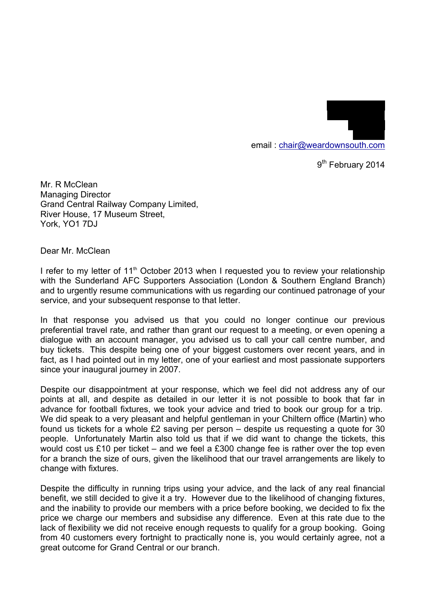email : chair@weardownsouth.com

9<sup>th</sup> February 2014

19 Laurel Drive Winchmore Hill

> LONDON N21 1LJ

Mr. R McClean Managing Director Grand Central Railway Company Limited, River House, 17 Museum Street, York, YO1 7DJ

Dear Mr. McClean

I refer to my letter of 11<sup>th</sup> October 2013 when I requested you to review your relationship with the Sunderland AFC Supporters Association (London & Southern England Branch) and to urgently resume communications with us regarding our continued patronage of your service, and your subsequent response to that letter.

In that response you advised us that you could no longer continue our previous preferential travel rate, and rather than grant our request to a meeting, or even opening a dialogue with an account manager, you advised us to call your call centre number, and buy tickets. This despite being one of your biggest customers over recent years, and in fact, as I had pointed out in my letter, one of your earliest and most passionate supporters since your inaugural journey in 2007.

Despite our disappointment at your response, which we feel did not address any of our points at all, and despite as detailed in our letter it is not possible to book that far in advance for football fixtures, we took your advice and tried to book our group for a trip. We did speak to a very pleasant and helpful gentleman in your Chiltern office (Martin) who found us tickets for a whole £2 saving per person – despite us requesting a quote for 30 people. Unfortunately Martin also told us that if we did want to change the tickets, this would cost us £10 per ticket – and we feel a £300 change fee is rather over the top even for a branch the size of ours, given the likelihood that our travel arrangements are likely to change with fixtures.

Despite the difficulty in running trips using your advice, and the lack of any real financial benefit, we still decided to give it a try. However due to the likelihood of changing fixtures, and the inability to provide our members with a price before booking, we decided to fix the price we charge our members and subsidise any difference. Even at this rate due to the lack of flexibility we did not receive enough requests to qualify for a group booking. Going from 40 customers every fortnight to practically none is, you would certainly agree, not a great outcome for Grand Central or our branch.